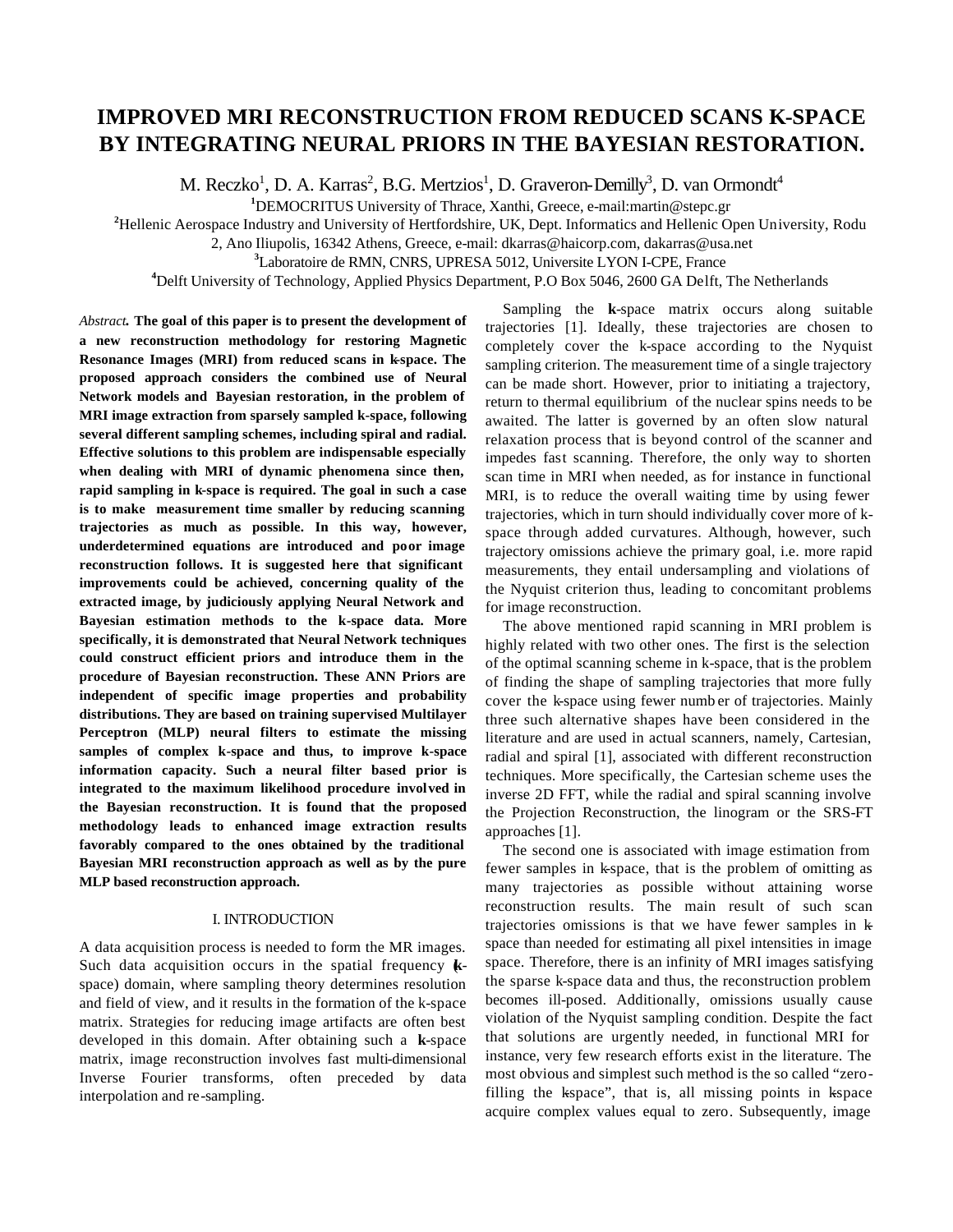# **IMPROVED MRI RECONSTRUCTION FROM REDUCED SCANS K-SPACE BY INTEGRATING NEURAL PRIORS IN THE BAYESIAN RESTORATION.**

M. Reczko<sup>1</sup>, D. A. Karras<sup>2</sup>, B.G. Mertzios<sup>1</sup>, D. Graveron-Demilly<sup>3</sup>, D. van Ormondt<sup>4</sup>

**<sup>1</sup>**DEMOCRITUS University of Thrace, Xanthi, Greece, e-mail:martin@stepc.gr

**<sup>2</sup>**Hellenic Aerospace Industry and University of Hertfordshire, UK, Dept. Informatics and Hellenic Open University, Rodu

2, Ano Iliupolis, 16342 Athens, Greece, e-mail: dkarras@haicorp.com, dakarras@usa.net

**3** Laboratoire de RMN, CNRS, UPRESA 5012, Universite LYON I-CPE, France

**<sup>4</sup>**Delft University of Technology, Applied Physics Department, P.O Box 5046, 2600 GA Delft, The Netherlands

*Abstract.* **The goal of this paper is to present the development of a new reconstruction methodology for restoring Magnetic Resonance Images (MRI) from reduced scans in k-space. The proposed approach considers the combined use of Neural Network models and Bayesian restoration, in the problem of MRI image extraction from sparsely sampled k-space, following several different sampling schemes, including spiral and radial. Effective solutions to this problem are indispensable especially when dealing with MRI of dynamic phenomena since then, rapid sampling in k-space is required. The goal in such a case is to make measurement time smaller by reducing scanning trajectories as much as possible. In this way, however, underdetermined equations are introduced and poor image reconstruction follows. It is suggested here that significant improvements could be achieved, concerning quality of the extracted image, by judiciously applying Neural Network and Bayesian estimation methods to the k-space data. More specifically, it is demonstrated that Neural Network techniques could construct efficient priors and introduce them in the procedure of Bayesian reconstruction. These ANN Priors are independent of specific image properties and probability distributions. They are based on training supervised Multilayer Perceptron (MLP) neural filters to estimate the missing samples of complex k-space and thus, to improve k-space information capacity. Such a neural filter based prior is integrated to the maximum likelihood procedure involved in the Bayesian reconstruction. It is found that the proposed methodology leads to enhanced image extraction results favorably compared to the ones obtained by the traditional Bayesian MRI reconstruction approach as well as by the pure MLP based reconstruction approach.**

# I. INTRODUCTION

A data acquisition process is needed to form the MR images. Such data acquisition occurs in the spatial frequency (**k**space) domain, where sampling theory determines resolution and field of view, and it results in the formation of the k-space matrix. Strategies for reducing image artifacts are often best developed in this domain. After obtaining such a **k**-space matrix, image reconstruction involves fast multi-dimensional Inverse Fourier transforms, often preceded by data interpolation and re-sampling.

Sampling the **k**-space matrix occurs along suitable trajectories [1]. Ideally, these trajectories are chosen to completely cover the k-space according to the Nyquist sampling criterion. The measurement time of a single trajectory can be made short. However, prior to initiating a trajectory, return to thermal equilibrium of the nuclear spins needs to be awaited. The latter is governed by an often slow natural relaxation process that is beyond control of the scanner and impedes fast scanning. Therefore, the only way to shorten scan time in MRI when needed, as for instance in functional MRI, is to reduce the overall waiting time by using fewer trajectories, which in turn should individually cover more of kspace through added curvatures. Although, however, such trajectory omissions achieve the primary goal, i.e. more rapid measurements, they entail undersampling and violations of the Nyquist criterion thus, leading to concomitant problems for image reconstruction.

The above mentioned rapid scanning in MRI problem is highly related with two other ones. The first is the selection of the optimal scanning scheme in k-space, that is the problem of finding the shape of sampling trajectories that more fully cover the k-space using fewer numb er of trajectories. Mainly three such alternative shapes have been considered in the literature and are used in actual scanners, namely, Cartesian, radial and spiral [1], associated with different reconstruction techniques. More specifically, the Cartesian scheme uses the inverse 2D FFT, while the radial and spiral scanning involve the Projection Reconstruction, the linogram or the SRS-FT approaches [1].

The second one is associated with image estimation from fewer samples in k-space, that is the problem of omitting as many trajectories as possible without attaining worse reconstruction results. The main result of such scan trajectories omissions is that we have fewer samples in kspace than needed for estimating all pixel intensities in image space. Therefore, there is an infinity of MRI images satisfying the sparse k-space data and thus, the reconstruction problem becomes ill-posed. Additionally, omissions usually cause violation of the Nyquist sampling condition. Despite the fact that solutions are urgently needed, in functional MRI for instance, very few research efforts exist in the literature. The most obvious and simplest such method is the so called "zerofilling the kspace", that is, all missing points in kspace acquire complex values equal to zero. Subsequently, image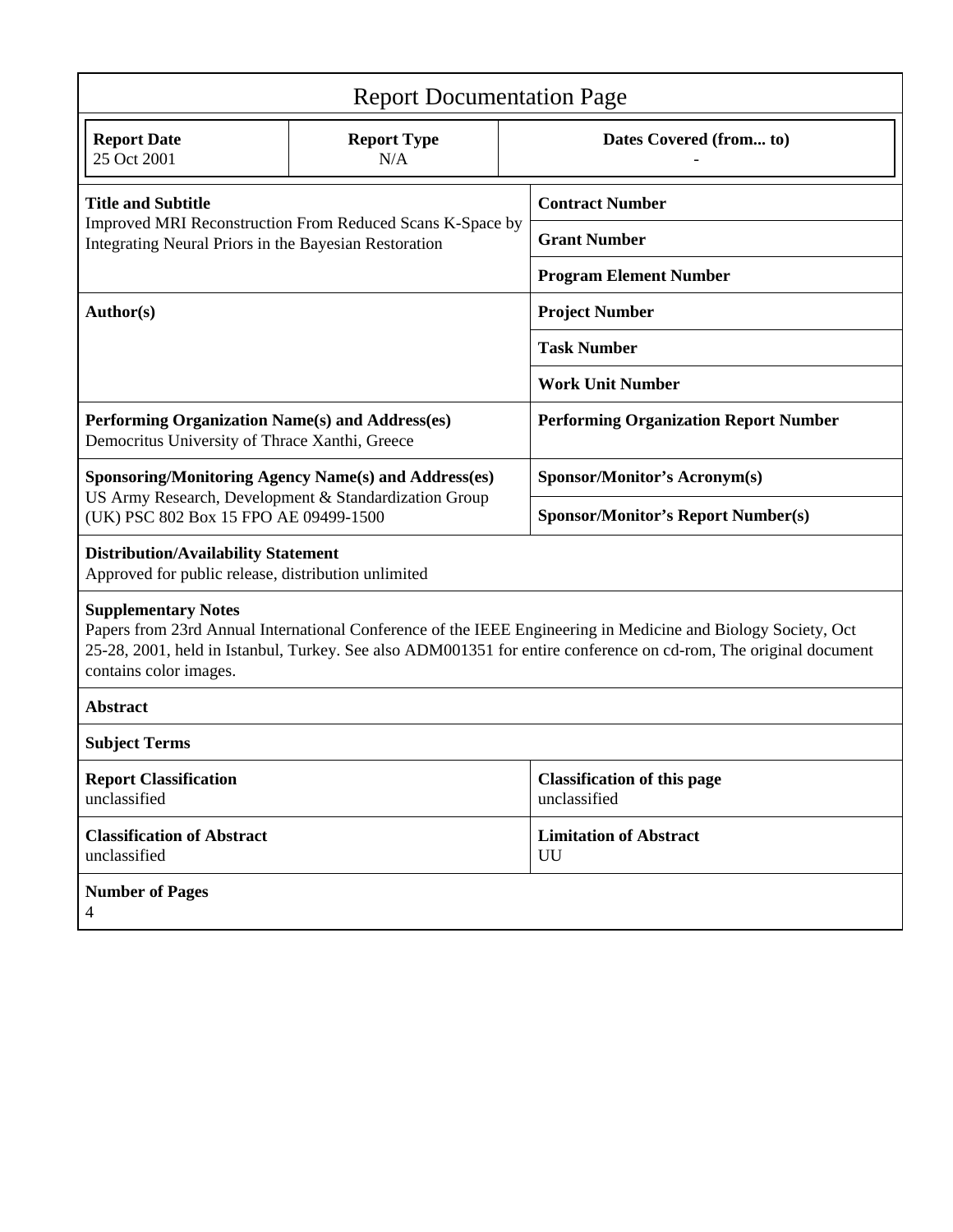| <b>Report Documentation Page</b>                                                                                                                                                                                                                                                          |                           |                                     |                                                    |  |
|-------------------------------------------------------------------------------------------------------------------------------------------------------------------------------------------------------------------------------------------------------------------------------------------|---------------------------|-------------------------------------|----------------------------------------------------|--|
| <b>Report Date</b><br>25 Oct 2001                                                                                                                                                                                                                                                         | <b>Report Type</b><br>N/A |                                     | Dates Covered (from to)                            |  |
| <b>Title and Subtitle</b><br>Improved MRI Reconstruction From Reduced Scans K-Space by<br>Integrating Neural Priors in the Bayesian Restoration                                                                                                                                           |                           |                                     | <b>Contract Number</b>                             |  |
|                                                                                                                                                                                                                                                                                           |                           |                                     | <b>Grant Number</b>                                |  |
|                                                                                                                                                                                                                                                                                           |                           |                                     | <b>Program Element Number</b>                      |  |
| Author(s)                                                                                                                                                                                                                                                                                 |                           |                                     | <b>Project Number</b>                              |  |
|                                                                                                                                                                                                                                                                                           |                           |                                     | <b>Task Number</b>                                 |  |
|                                                                                                                                                                                                                                                                                           |                           |                                     | <b>Work Unit Number</b>                            |  |
| Performing Organization Name(s) and Address(es)<br>Democritus University of Thrace Xanthi, Greece                                                                                                                                                                                         |                           |                                     | <b>Performing Organization Report Number</b>       |  |
| <b>Sponsoring/Monitoring Agency Name(s) and Address(es)</b><br>US Army Research, Development & Standardization Group<br>(UK) PSC 802 Box 15 FPO AE 09499-1500                                                                                                                             |                           |                                     | Sponsor/Monitor's Acronym(s)                       |  |
|                                                                                                                                                                                                                                                                                           |                           |                                     | <b>Sponsor/Monitor's Report Number(s)</b>          |  |
| <b>Distribution/Availability Statement</b><br>Approved for public release, distribution unlimited                                                                                                                                                                                         |                           |                                     |                                                    |  |
| <b>Supplementary Notes</b><br>Papers from 23rd Annual International Conference of the IEEE Engineering in Medicine and Biology Society, Oct<br>25-28, 2001, held in Istanbul, Turkey. See also ADM001351 for entire conference on cd-rom, The original document<br>contains color images. |                           |                                     |                                                    |  |
| <b>Abstract</b>                                                                                                                                                                                                                                                                           |                           |                                     |                                                    |  |
| <b>Subject Terms</b>                                                                                                                                                                                                                                                                      |                           |                                     |                                                    |  |
| <b>Report Classification</b><br>unclassified                                                                                                                                                                                                                                              |                           |                                     | <b>Classification of this page</b><br>unclassified |  |
| <b>Classification of Abstract</b><br>unclassified                                                                                                                                                                                                                                         |                           | <b>Limitation of Abstract</b><br>UU |                                                    |  |
| <b>Number of Pages</b><br>4                                                                                                                                                                                                                                                               |                           |                                     |                                                    |  |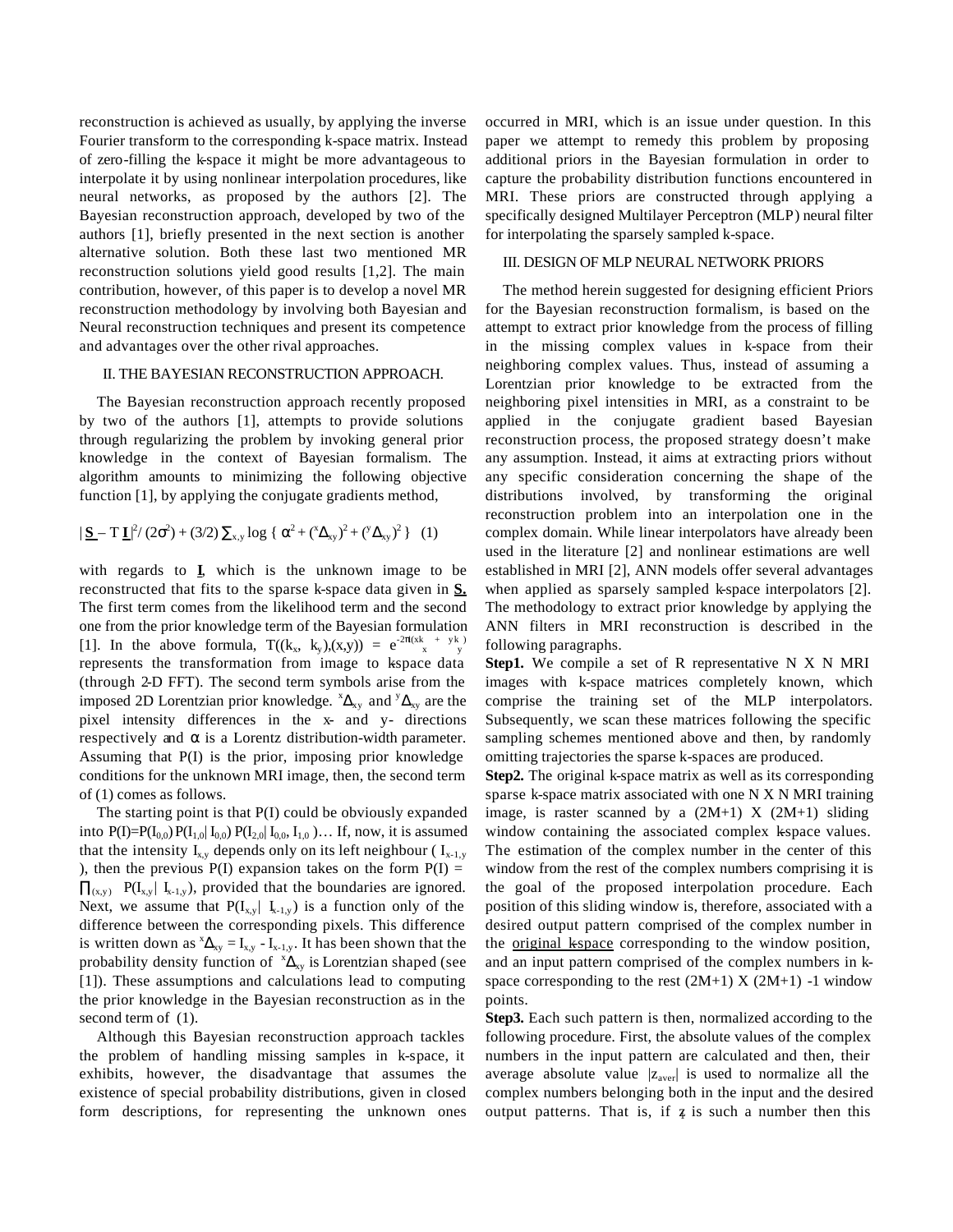reconstruction is achieved as usually, by applying the inverse Fourier transform to the corresponding k-space matrix. Instead of zero-filling the k-space it might be more advantageous to interpolate it by using nonlinear interpolation procedures, like neural networks, as proposed by the authors [2]. The Bayesian reconstruction approach, developed by two of the authors [1], briefly presented in the next section is another alternative solution. Both these last two mentioned MR reconstruction solutions yield good results [1,2]. The main contribution, however, of this paper is to develop a novel MR reconstruction methodology by involving both Bayesian and Neural reconstruction techniques and present its competence and advantages over the other rival approaches.

## II. THE BAYESIAN RECONSTRUCTION APPROACH.

The Bayesian reconstruction approach recently proposed by two of the authors [1], attempts to provide solutions through regularizing the problem by invoking general prior knowledge in the context of Bayesian formalism. The algorithm amounts to minimizing the following objective function [1], by applying the conjugate gradients method,

$$
|\underline{\mathbf{S}} - \mathbf{T} \underline{\mathbf{I}}|^2 / (2\sigma^2) + (3/2) \sum_{x,y} \log \{ \alpha^2 + (\alpha x_y)^2 + (\alpha x_y)^2 \} (1)
$$

with regards to **I**, which is the unknown image to be reconstructed that fits to the sparse k-space data given in **S.**  The first term comes from the likelihood term and the second one from the prior knowledge term of the Bayesian formulation [1]. In the above formula,  $T((k_x, k_y), (x, y)) = e^{-2\pi i (x_k + y_k)}$ represents the transformation from image to keepace data (through 2-D FFT). The second term symbols arise from the imposed 2D Lorentzian prior knowledge.  ${}^x\Delta_{xy}$  and  ${}^y\Delta_{xy}$  are the pixel intensity differences in the x- and y- directions respectively and  $\alpha$  is a Lorentz distribution-width parameter. Assuming that P(I) is the prior, imposing prior knowledge conditions for the unknown MRI image, then, the second term of (1) comes as follows.

The starting point is that P(I) could be obviously expanded into P(I)=P(I<sub>0,0</sub>) P(I<sub>1,0</sub>| I<sub>0,0</sub>) P(I<sub>2,0</sub>| I<sub>0,0</sub>, I<sub>1,0</sub>)... If, now, it is assumed that the intensity  $I_{x,y}$  depends only on its left neighbour ( $I_{x-1,y}$ ) ), then the previous  $P(I)$  expansion takes on the form  $P(I)$  =  $\prod_{(x,y)}$  P(I<sub>x,y</sub>| I<sub>x-1,y</sub>), provided that the boundaries are ignored. Next, we assume that  $P(I_{x,y} | I_{x-1,y})$  is a function only of the difference between the corresponding pixels. This difference is written down as  ${}^x\Delta_{xy} = I_{x,y} - I_{x-1,y}$ . It has been shown that the probability density function of  ${}^{x}\Delta_{xy}$  is Lorentzian shaped (see [1]). These assumptions and calculations lead to computing the prior knowledge in the Bayesian reconstruction as in the second term of  $(1)$ .

Although this Bayesian reconstruction approach tackles the problem of handling missing samples in k-space, it exhibits, however, the disadvantage that assumes the existence of special probability distributions, given in closed form descriptions, for representing the unknown ones occurred in MRI, which is an issue under question. In this paper we attempt to remedy this problem by proposing additional priors in the Bayesian formulation in order to capture the probability distribution functions encountered in MRI. These priors are constructed through applying a specifically designed Multilayer Perceptron (MLP) neural filter for interpolating the sparsely sampled k-space.

#### III. DESIGN OF MLP NEURAL NETWORK PRIORS

The method herein suggested for designing efficient Priors for the Bayesian reconstruction formalism, is based on the attempt to extract prior knowledge from the process of filling in the missing complex values in k-space from their neighboring complex values. Thus, instead of assuming a Lorentzian prior knowledge to be extracted from the neighboring pixel intensities in MRI, as a constraint to be applied in the conjugate gradient based Bayesian reconstruction process, the proposed strategy doesn't make any assumption. Instead, it aims at extracting priors without any specific consideration concerning the shape of the distributions involved, by transforming the original reconstruction problem into an interpolation one in the complex domain. While linear interpolators have already been used in the literature [2] and nonlinear estimations are well established in MRI [2], ANN models offer several advantages when applied as sparsely sampled k-space interpolators [2]. The methodology to extract prior knowledge by applying the ANN filters in MRI reconstruction is described in the following paragraphs.

**Step1.** We compile a set of R representative N X N MRI images with k-space matrices completely known, which comprise the training set of the MLP interpolators. Subsequently, we scan these matrices following the specific sampling schemes mentioned above and then, by randomly omitting trajectories the sparse k-spaces are produced.

**Step2.** The original k-space matrix as well as its corresponding sparse k-space matrix associated with one N X N MRI training image, is raster scanned by a  $(2M+1)$  X  $(2M+1)$  sliding window containing the associated complex k-space values. The estimation of the complex number in the center of this window from the rest of the complex numbers comprising it is the goal of the proposed interpolation procedure. Each position of this sliding window is, therefore, associated with a desired output pattern comprised of the complex number in the original k-space corresponding to the window position, and an input pattern comprised of the complex numbers in kspace corresponding to the rest  $(2M+1)$  X  $(2M+1)$  -1 window points.

**Step3.** Each such pattern is then, normalized according to the following procedure. First, the absolute values of the complex numbers in the input pattern are calculated and then, their average absolute value  $|z_{\text{aver}}|$  is used to normalize all the complex numbers belonging both in the input and the desired output patterns. That is, if  $\bar{z}$  is such a number then this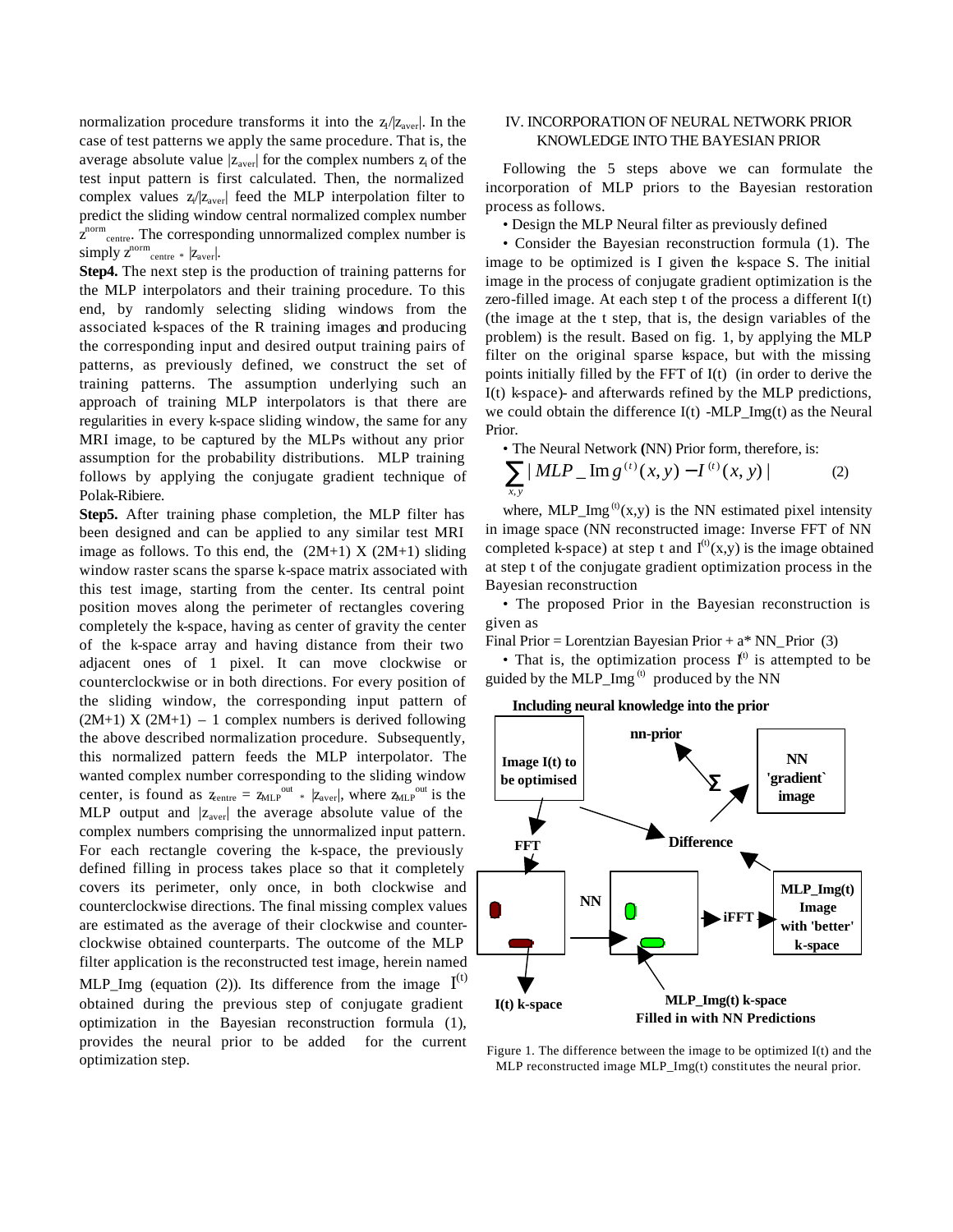normalization procedure transforms it into the  $z_1/|z_{\text{aver}}|$ . In the case of test patterns we apply the same procedure. That is, the average absolute value  $|z_{\text{aver}}|$  for the complex numbers  $z_i$  of the test input pattern is first calculated. Then, the normalized complex values  $z_i / |z_{\text{aver}}|$  feed the MLP interpolation filter to predict the sliding window central normalized complex number  $z^{\text{norm}}$ <sub>centre</sub>. The corresponding unnormalized complex number is  $\text{simply } \mathsf{z}^{\text{norm}}_{\text{centre}} * | \mathsf{z}_{\text{aver}} |.$ 

**Step4.** The next step is the production of training patterns for the MLP interpolators and their training procedure. To this end, by randomly selecting sliding windows from the associated k-spaces of the R training images and producing the corresponding input and desired output training pairs of patterns, as previously defined, we construct the set of training patterns. The assumption underlying such an approach of training MLP interpolators is that there are regularities in every k-space sliding window, the same for any MRI image, to be captured by the MLPs without any prior assumption for the probability distributions. MLP training follows by applying the conjugate gradient technique of Polak-Ribiere.

**Step5.** After training phase completion, the MLP filter has been designed and can be applied to any similar test MRI image as follows. To this end, the  $(2M+1)$  X  $(2M+1)$  sliding window raster scans the sparse k-space matrix associated with this test image, starting from the center. Its central point position moves along the perimeter of rectangles covering completely the k-space, having as center of gravity the center of the k-space array and having distance from their two adjacent ones of 1 pixel. It can move clockwise or counterclockwise or in both directions. For every position of the sliding window, the corresponding input pattern of  $(2M+1)$  X  $(2M+1)$  – 1 complex numbers is derived following the above described normalization procedure. Subsequently, this normalized pattern feeds the MLP interpolator. The wanted complex number corresponding to the sliding window center, is found as  $z_{\text{entre}} = z_{MLP}^{\text{out}} * |z_{\text{aver}}|$ , where  $z_{MLP}^{\text{out}}$  is the MLP output and  $|z_{\text{aver}}|$  the average absolute value of the complex numbers comprising the unnormalized input pattern. For each rectangle covering the k-space, the previously defined filling in process takes place so that it completely covers its perimeter, only once, in both clockwise and counterclockwise directions. The final missing complex values are estimated as the average of their clockwise and counterclockwise obtained counterparts. The outcome of the MLP filter application is the reconstructed test image, herein named MLP\_Img (equation (2)). Its difference from the image  $I^{(t)}$ obtained during the previous step of conjugate gradient optimization in the Bayesian reconstruction formula (1), provides the neural prior to be added for the current optimization step.

# IV. INCORPORATION OF NEURAL NETWORK PRIOR KNOWLEDGE INTO THE BAYESIAN PRIOR

Following the 5 steps above we can formulate the incorporation of MLP priors to the Bayesian restoration process as follows.

• Design the MLP Neural filter as previously defined

• Consider the Bayesian reconstruction formula (1). The image to be optimized is I given the k-space S. The initial image in the process of conjugate gradient optimization is the zero-filled image. At each step t of the process a different  $I(t)$ (the image at the t step, that is, the design variables of the problem) is the result. Based on fig. 1, by applying the MLP filter on the original sparse kspace, but with the missing points initially filled by the FFT of I(t) (in order to derive the I(t) k-space)- and afterwards refined by the MLP predictions, we could obtain the difference I(t) -MLP\_Img(t) as the Neural Prior.

• The Neural Network **(**NN) Prior form, therefore, is:

$$
\sum_{x,y} |MLP \_ \text{Im } g^{(t)}(x,y) - I^{(t)}(x,y) | \tag{2}
$$

where, MLP\_Img<sup>(t)</sup>(x,y) is the NN estimated pixel intensity in image space (NN reconstructed image: Inverse FFT of NN completed k-space) at step t and  $I^{(t)}(x,y)$  is the image obtained at step t of the conjugate gradient optimization process in the Bayesian reconstruction

• The proposed Prior in the Bayesian reconstruction is given as

Final Prior = Lorentzian Bayesian Prior +  $a^* NN$  Prior (3)

• That is, the optimization process  $I<sup>(t)</sup>$  is attempted to be guided by the MLP  $\text{Img}^{(t)}$  produced by the NN





Figure 1. The difference between the image to be optimized  $I(t)$  and the MLP reconstructed image MLP\_Img(t) constitutes the neural prior.